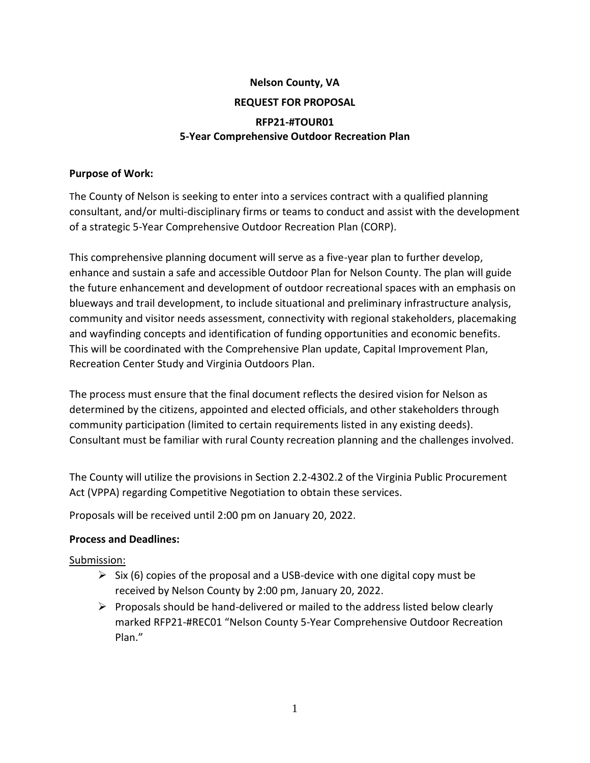# **Nelson County, VA REQUEST FOR PROPOSAL RFP21-#TOUR01 5-Year Comprehensive Outdoor Recreation Plan**

#### **Purpose of Work:**

The County of Nelson is seeking to enter into a services contract with a qualified planning consultant, and/or multi-disciplinary firms or teams to conduct and assist with the development of a strategic 5-Year Comprehensive Outdoor Recreation Plan (CORP).

This comprehensive planning document will serve as a five-year plan to further develop, enhance and sustain a safe and accessible Outdoor Plan for Nelson County. The plan will guide the future enhancement and development of outdoor recreational spaces with an emphasis on blueways and trail development, to include situational and preliminary infrastructure analysis, community and visitor needs assessment, connectivity with regional stakeholders, placemaking and wayfinding concepts and identification of funding opportunities and economic benefits. This will be coordinated with the Comprehensive Plan update, Capital Improvement Plan, Recreation Center Study and Virginia Outdoors Plan.

The process must ensure that the final document reflects the desired vision for Nelson as determined by the citizens, appointed and elected officials, and other stakeholders through community participation (limited to certain requirements listed in any existing deeds). Consultant must be familiar with rural County recreation planning and the challenges involved.

The County will utilize the provisions in Section 2.2-4302.2 of the Virginia Public Procurement Act (VPPA) regarding Competitive Negotiation to obtain these services.

Proposals will be received until 2:00 pm on January 20, 2022.

#### **Process and Deadlines:**

#### Submission:

- $\triangleright$  Six (6) copies of the proposal and a USB-device with one digital copy must be received by Nelson County by 2:00 pm, January 20, 2022.
- $\triangleright$  Proposals should be hand-delivered or mailed to the address listed below clearly marked RFP21-#REC01 "Nelson County 5-Year Comprehensive Outdoor Recreation Plan."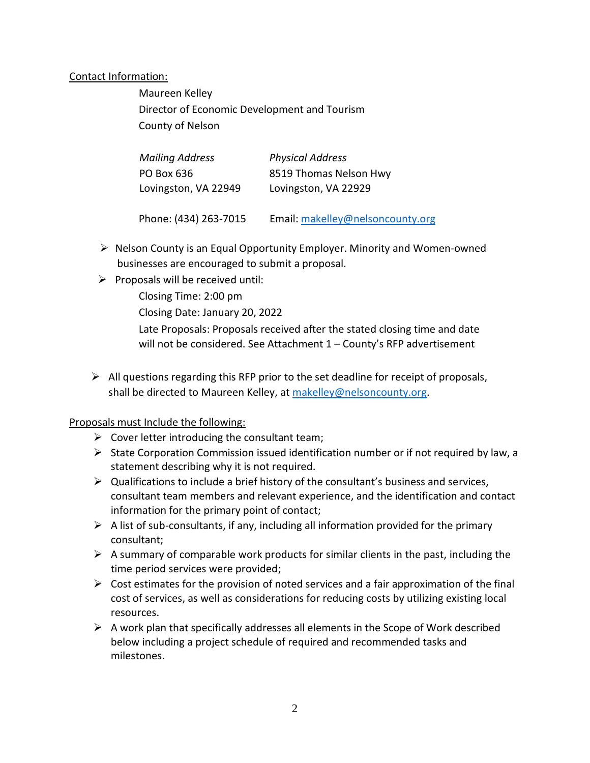#### Contact Information:

Maureen Kelley Director of Economic Development and Tourism County of Nelson

| <b>Mailing Address</b> | <b>Physical Address</b>          |
|------------------------|----------------------------------|
| PO Box 636             | 8519 Thomas Nelson Hwy           |
| Lovingston, VA 22949   | Lovingston, VA 22929             |
| Phone: (434) 263-7015  | Email: makelley@nelsoncounty.org |

- $\triangleright$  Nelson County is an Equal Opportunity Employer. Minority and Women-owned businesses are encouraged to submit a proposal.
- $\triangleright$  Proposals will be received until:
	- Closing Time: 2:00 pm
	- Closing Date: January 20, 2022
	- Late Proposals: Proposals received after the stated closing time and date will not be considered. See Attachment 1 – County's RFP advertisement
- $\triangleright$  All questions regarding this RFP prior to the set deadline for receipt of proposals, shall be directed to Maureen Kelley, at [makelley@nelsoncounty.org.](mailto:makelley@nelsoncounty.org)

#### Proposals must Include the following:

- $\triangleright$  Cover letter introducing the consultant team;
- $\triangleright$  State Corporation Commission issued identification number or if not required by law, a statement describing why it is not required.
- $\triangleright$  Qualifications to include a brief history of the consultant's business and services, consultant team members and relevant experience, and the identification and contact information for the primary point of contact;
- $\triangleright$  A list of sub-consultants, if any, including all information provided for the primary consultant;
- $\triangleright$  A summary of comparable work products for similar clients in the past, including the time period services were provided;
- $\triangleright$  Cost estimates for the provision of noted services and a fair approximation of the final cost of services, as well as considerations for reducing costs by utilizing existing local resources.
- $\triangleright$  A work plan that specifically addresses all elements in the Scope of Work described below including a project schedule of required and recommended tasks and milestones.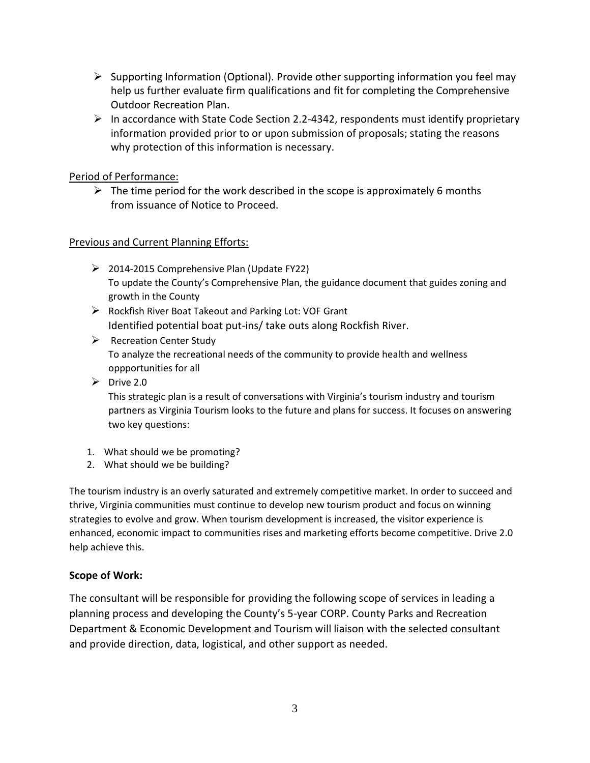- $\triangleright$  Supporting Information (Optional). Provide other supporting information you feel may help us further evaluate firm qualifications and fit for completing the Comprehensive Outdoor Recreation Plan.
- $\triangleright$  In accordance with State Code Section 2.2-4342, respondents must identify proprietary information provided prior to or upon submission of proposals; stating the reasons why protection of this information is necessary.

### Period of Performance:

 $\triangleright$  The time period for the work described in the scope is approximately 6 months from issuance of Notice to Proceed.

#### Previous and Current Planning Efforts:

- $\geq$  2014-2015 Comprehensive Plan (Update FY22) To update the County's Comprehensive Plan, the guidance document that guides zoning and growth in the County
- $\triangleright$  Rockfish River Boat Takeout and Parking Lot: VOF Grant Identified potential boat put-ins/ take outs along Rockfish River.
- $\triangleright$  Recreation Center Study To analyze the recreational needs of the community to provide health and wellness oppportunities for all
- $\triangleright$  Drive 2.0

This strategic plan is a result of conversations with Virginia's tourism industry and tourism partners as Virginia Tourism looks to the future and plans for success. It focuses on answering two key questions:

- 1. What should we be promoting?
- 2. What should we be building?

The tourism industry is an overly saturated and extremely competitive market. In order to succeed and thrive, Virginia communities must continue to develop new tourism product and focus on winning strategies to evolve and grow. When tourism development is increased, the visitor experience is enhanced, economic impact to communities rises and marketing efforts become competitive. Drive 2.0 help achieve this.

#### **Scope of Work:**

The consultant will be responsible for providing the following scope of services in leading a planning process and developing the County's 5-year CORP. County Parks and Recreation Department & Economic Development and Tourism will liaison with the selected consultant and provide direction, data, logistical, and other support as needed.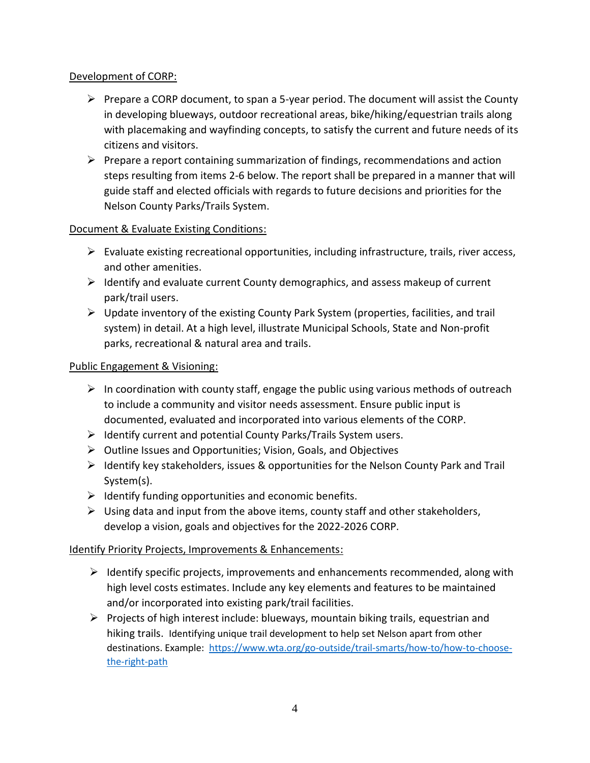# Development of CORP:

- $\triangleright$  Prepare a CORP document, to span a 5-year period. The document will assist the County in developing blueways, outdoor recreational areas, bike/hiking/equestrian trails along with placemaking and wayfinding concepts, to satisfy the current and future needs of its citizens and visitors.
- $\triangleright$  Prepare a report containing summarization of findings, recommendations and action steps resulting from items 2-6 below. The report shall be prepared in a manner that will guide staff and elected officials with regards to future decisions and priorities for the Nelson County Parks/Trails System.

# Document & Evaluate Existing Conditions:

- $\triangleright$  Evaluate existing recreational opportunities, including infrastructure, trails, river access, and other amenities.
- $\triangleright$  Identify and evaluate current County demographics, and assess makeup of current park/trail users.
- $\triangleright$  Update inventory of the existing County Park System (properties, facilities, and trail system) in detail. At a high level, illustrate Municipal Schools, State and Non-profit parks, recreational & natural area and trails.

# Public Engagement & Visioning:

- $\triangleright$  In coordination with county staff, engage the public using various methods of outreach to include a community and visitor needs assessment. Ensure public input is documented, evaluated and incorporated into various elements of the CORP.
- $\triangleright$  Identify current and potential County Parks/Trails System users.
- $\triangleright$  Outline Issues and Opportunities; Vision, Goals, and Objectives
- $\triangleright$  Identify key stakeholders, issues & opportunities for the Nelson County Park and Trail System(s).
- $\triangleright$  Identify funding opportunities and economic benefits.
- $\triangleright$  Using data and input from the above items, county staff and other stakeholders, develop a vision, goals and objectives for the 2022-2026 CORP.

#### Identify Priority Projects, Improvements & Enhancements:

- $\triangleright$  Identify specific projects, improvements and enhancements recommended, along with high level costs estimates. Include any key elements and features to be maintained and/or incorporated into existing park/trail facilities.
- $\triangleright$  Projects of high interest include: blueways, mountain biking trails, equestrian and hiking trails. Identifying unique trail development to help set Nelson apart from other destinations. Example: [https://www.wta.org/go-outside/trail-smarts/how-to/how-to-choose](https://www.wta.org/go-outside/trail-smarts/how-to/how-to-choose-the-right-path)[the-right-path](https://www.wta.org/go-outside/trail-smarts/how-to/how-to-choose-the-right-path)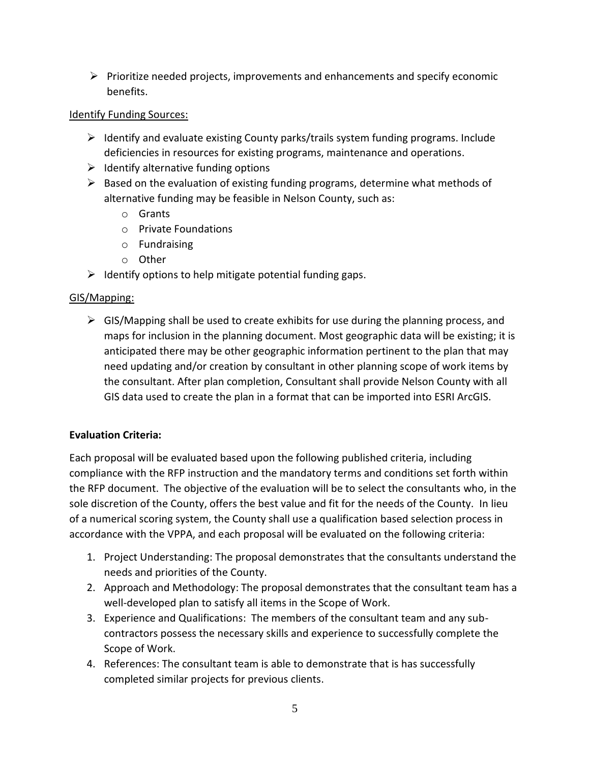$\triangleright$  Prioritize needed projects, improvements and enhancements and specify economic benefits.

# Identify Funding Sources:

- $\triangleright$  Identify and evaluate existing County parks/trails system funding programs. Include deficiencies in resources for existing programs, maintenance and operations.
- $\triangleright$  Identify alternative funding options
- $\triangleright$  Based on the evaluation of existing funding programs, determine what methods of alternative funding may be feasible in Nelson County, such as:
	- o Grants
	- o Private Foundations
	- o Fundraising
	- o Other
- $\triangleright$  Identify options to help mitigate potential funding gaps.

# GIS/Mapping:

 $\triangleright$  GIS/Mapping shall be used to create exhibits for use during the planning process, and maps for inclusion in the planning document. Most geographic data will be existing; it is anticipated there may be other geographic information pertinent to the plan that may need updating and/or creation by consultant in other planning scope of work items by the consultant. After plan completion, Consultant shall provide Nelson County with all GIS data used to create the plan in a format that can be imported into ESRI ArcGIS.

# **Evaluation Criteria:**

Each proposal will be evaluated based upon the following published criteria, including compliance with the RFP instruction and the mandatory terms and conditions set forth within the RFP document. The objective of the evaluation will be to select the consultants who, in the sole discretion of the County, offers the best value and fit for the needs of the County. In lieu of a numerical scoring system, the County shall use a qualification based selection process in accordance with the VPPA, and each proposal will be evaluated on the following criteria:

- 1. Project Understanding: The proposal demonstrates that the consultants understand the needs and priorities of the County.
- 2. Approach and Methodology: The proposal demonstrates that the consultant team has a well-developed plan to satisfy all items in the Scope of Work.
- 3. Experience and Qualifications: The members of the consultant team and any subcontractors possess the necessary skills and experience to successfully complete the Scope of Work.
- 4. References: The consultant team is able to demonstrate that is has successfully completed similar projects for previous clients.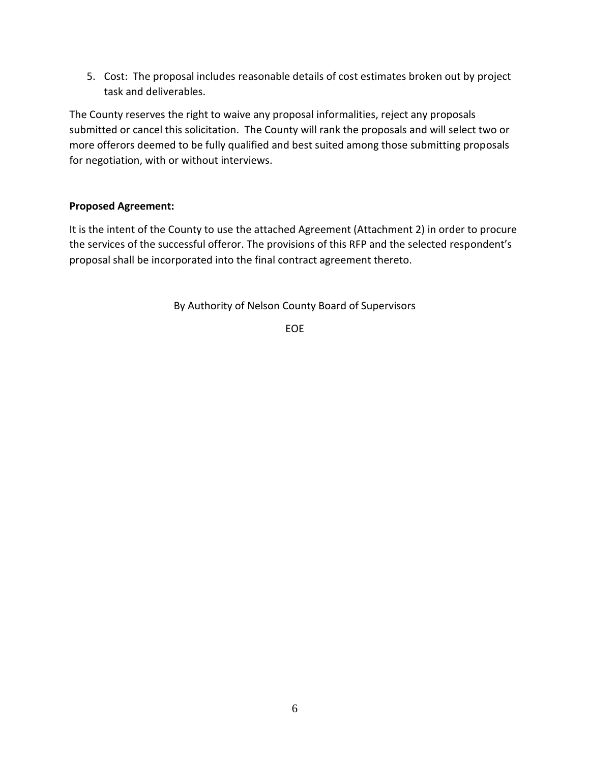5. Cost: The proposal includes reasonable details of cost estimates broken out by project task and deliverables.

The County reserves the right to waive any proposal informalities, reject any proposals submitted or cancel this solicitation. The County will rank the proposals and will select two or more offerors deemed to be fully qualified and best suited among those submitting proposals for negotiation, with or without interviews.

#### **Proposed Agreement:**

It is the intent of the County to use the attached Agreement (Attachment 2) in order to procure the services of the successful offeror. The provisions of this RFP and the selected respondent's proposal shall be incorporated into the final contract agreement thereto.

By Authority of Nelson County Board of Supervisors

EOE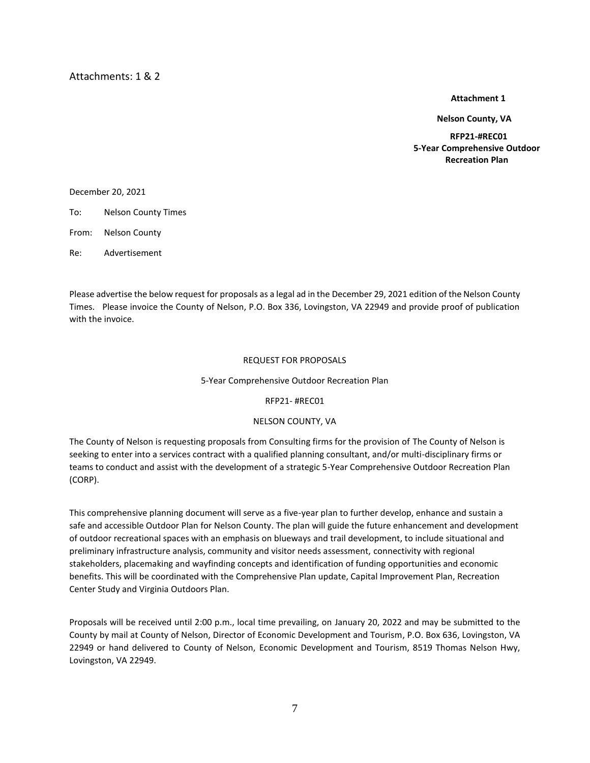**Attachment 1** 

 **Nelson County, VA**

**RFP21-#REC01 5-Year Comprehensive Outdoor Recreation Plan** 

December 20, 2021

To: Nelson County Times

From: Nelson County

Re: Advertisement

Please advertise the below request for proposals as a legal ad in the December 29, 2021 edition of the Nelson County Times. Please invoice the County of Nelson, P.O. Box 336, Lovingston, VA 22949 and provide proof of publication with the invoice.

#### REQUEST FOR PROPOSALS

#### 5-Year Comprehensive Outdoor Recreation Plan

RFP21- #REC01

#### NELSON COUNTY, VA

The County of Nelson is requesting proposals from Consulting firms for the provision of The County of Nelson is seeking to enter into a services contract with a qualified planning consultant, and/or multi-disciplinary firms or teams to conduct and assist with the development of a strategic 5-Year Comprehensive Outdoor Recreation Plan (CORP).

This comprehensive planning document will serve as a five-year plan to further develop, enhance and sustain a safe and accessible Outdoor Plan for Nelson County. The plan will guide the future enhancement and development of outdoor recreational spaces with an emphasis on blueways and trail development, to include situational and preliminary infrastructure analysis, community and visitor needs assessment, connectivity with regional stakeholders, placemaking and wayfinding concepts and identification of funding opportunities and economic benefits. This will be coordinated with the Comprehensive Plan update, Capital Improvement Plan, Recreation Center Study and Virginia Outdoors Plan.

Proposals will be received until 2:00 p.m., local time prevailing, on January 20, 2022 and may be submitted to the County by mail at County of Nelson, Director of Economic Development and Tourism, P.O. Box 636, Lovingston, VA 22949 or hand delivered to County of Nelson, Economic Development and Tourism, 8519 Thomas Nelson Hwy, Lovingston, VA 22949.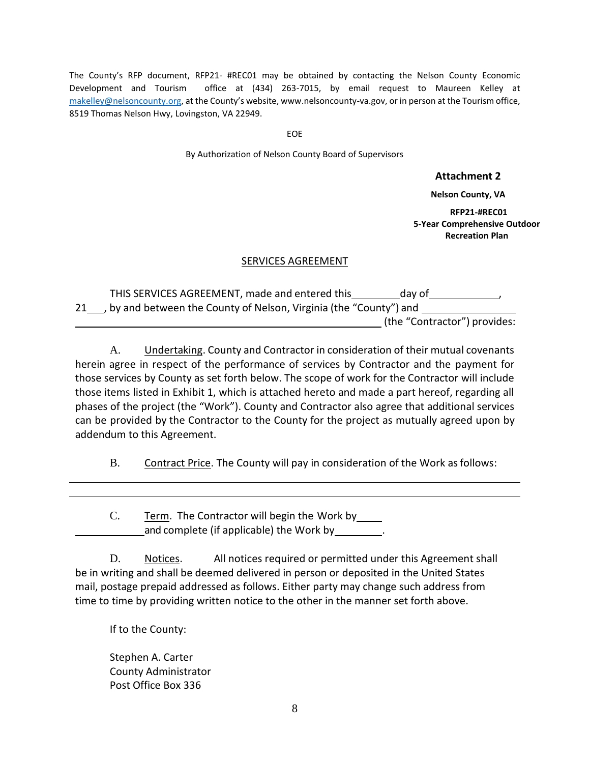The County's RFP document, RFP21- #REC01 may be obtained by contacting the Nelson County Economic Development and Tourism office at (434) 263-7015, by email request to Maureen Kelley at [makelley@nelsoncounty.org](mailto:makelley@nelsoncounty.org), at the County's website, www.nelsoncounty-va.gov, or in person at the Tourism office, 8519 Thomas Nelson Hwy, Lovingston, VA 22949.

EOE

By Authorization of Nelson County Board of Supervisors

#### **Attachment 2**

**Nelson County, VA**

**RFP21-#REC01 5-Year Comprehensive Outdoor Recreation Plan** 

#### SERVICES AGREEMENT

THIS SERVICES AGREEMENT, made and entered this day of  $\qquad \qquad ,$ 21\_\_\_, by and between the County of Nelson, Virginia (the "County") and \_\_\_\_\_\_\_ (the "Contractor") provides:

A. Undertaking. County and Contractor in consideration of their mutual covenants herein agree in respect of the performance of services by Contractor and the payment for those services by County as set forth below. The scope of work for the Contractor will include those items listed in Exhibit 1, which is attached hereto and made a part hereof, regarding all phases of the project (the "Work"). County and Contractor also agree that additional services can be provided by the Contractor to the County for the project as mutually agreed upon by addendum to this Agreement.

B. Contract Price. The County will pay in consideration of the Work as follows:

C. Term. The Contractor will begin the Work by\_\_\_\_ and complete (if applicable) the Work by \_\_\_\_\_\_\_\_.

D. Notices. All notices required or permitted under this Agreement shall be in writing and shall be deemed delivered in person or deposited in the United States mail, postage prepaid addressed as follows. Either party may change such address from time to time by providing written notice to the other in the manner set forth above.

If to the County:

Stephen A. Carter County Administrator Post Office Box 336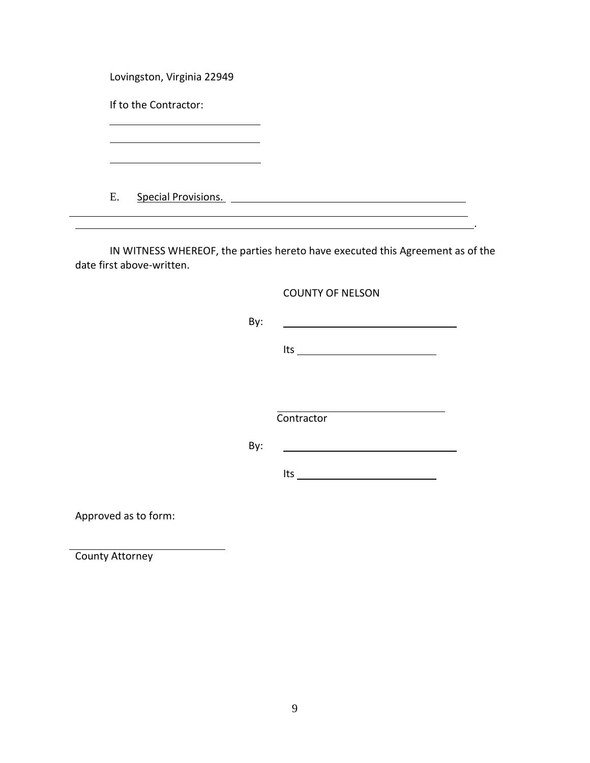Lovingston, Virginia 22949

If to the Contractor:

E. Special Provisions.

IN WITNESS WHEREOF, the parties hereto have executed this Agreement as of the date first above-written.

COUNTY OF NELSON

By:

Its

.

**Contractor** 

By:

Its <u>successive</u>

Approved as to form:

County Attorney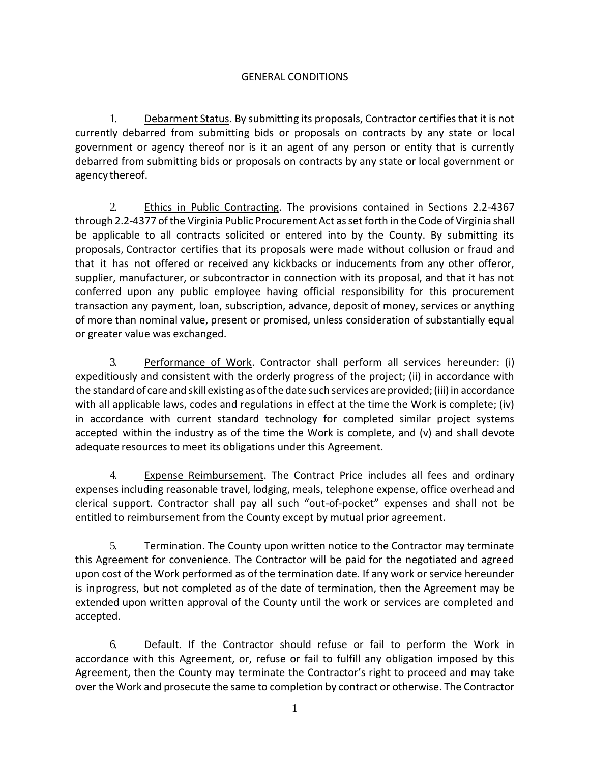### GENERAL CONDITIONS

1. Debarment Status. By submitting its proposals, Contractor certifies that it is not currently debarred from submitting bids or proposals on contracts by any state or local government or agency thereof nor is it an agent of any person or entity that is currently debarred from submitting bids or proposals on contracts by any state or local government or agency thereof.

2. Ethics in Public Contracting. The provisions contained in Sections 2.2-4367 through 2.2-4377 ofthe Virginia Public Procurement Act asset forth in the Code of Virginia shall be applicable to all contracts solicited or entered into by the County. By submitting its proposals, Contractor certifies that its proposals were made without collusion or fraud and that it has not offered or received any kickbacks or inducements from any other offeror, supplier, manufacturer, or subcontractor in connection with its proposal, and that it has not conferred upon any public employee having official responsibility for this procurement transaction any payment, loan, subscription, advance, deposit of money, services or anything of more than nominal value, present or promised, unless consideration of substantially equal or greater value was exchanged.

3. Performance of Work. Contractor shall perform all services hereunder: (i) expeditiously and consistent with the orderly progress of the project; (ii) in accordance with the standard of care and skill existing as of the date such services are provided; (iii) in accordance with all applicable laws, codes and regulations in effect at the time the Work is complete; (iv) in accordance with current standard technology for completed similar project systems accepted within the industry as of the time the Work is complete, and (v) and shall devote adequate resources to meet its obligations under this Agreement.

4. Expense Reimbursement. The Contract Price includes all fees and ordinary expenses including reasonable travel, lodging, meals, telephone expense, office overhead and clerical support. Contractor shall pay all such "out-of-pocket" expenses and shall not be entitled to reimbursement from the County except by mutual prior agreement.

5. Termination. The County upon written notice to the Contractor may terminate this Agreement for convenience. The Contractor will be paid for the negotiated and agreed upon cost of the Work performed as of the termination date. If any work or service hereunder is inprogress, but not completed as of the date of termination, then the Agreement may be extended upon written approval of the County until the work or services are completed and accepted.

6. Default. If the Contractor should refuse or fail to perform the Work in accordance with this Agreement, or, refuse or fail to fulfill any obligation imposed by this Agreement, then the County may terminate the Contractor's right to proceed and may take over the Work and prosecute the same to completion by contract or otherwise. The Contractor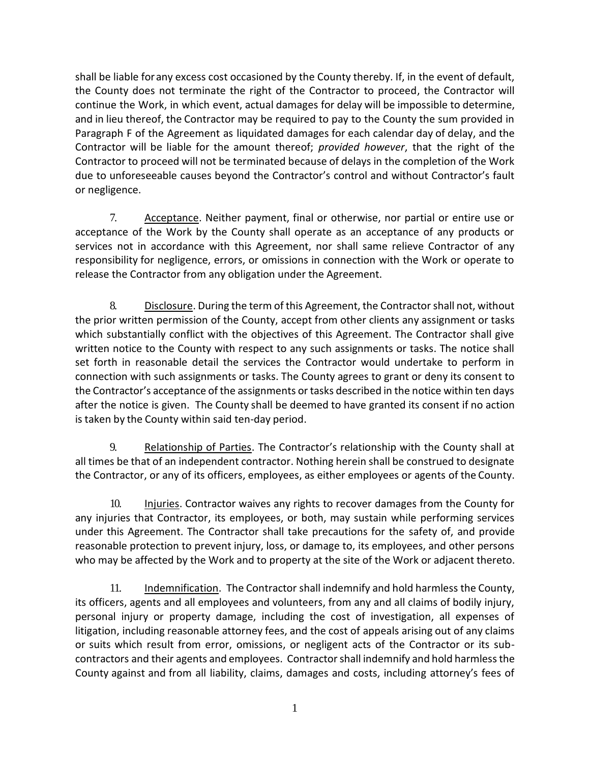shall be liable forany excess cost occasioned by the County thereby. If, in the event of default, the County does not terminate the right of the Contractor to proceed, the Contractor will continue the Work, in which event, actual damages for delay will be impossible to determine, and in lieu thereof, the Contractor may be required to pay to the County the sum provided in Paragraph F of the Agreement as liquidated damages for each calendar day of delay, and the Contractor will be liable for the amount thereof; *provided however*, that the right of the Contractor to proceed will not be terminated because of delays in the completion of the Work due to unforeseeable causes beyond the Contractor's control and without Contractor's fault or negligence.

7. Acceptance. Neither payment, final or otherwise, nor partial or entire use or acceptance of the Work by the County shall operate as an acceptance of any products or services not in accordance with this Agreement, nor shall same relieve Contractor of any responsibility for negligence, errors, or omissions in connection with the Work or operate to release the Contractor from any obligation under the Agreement.

8. Disclosure. During the term of this Agreement, the Contractor shall not, without the prior written permission of the County, accept from other clients any assignment or tasks which substantially conflict with the objectives of this Agreement. The Contractor shall give written notice to the County with respect to any such assignments or tasks. The notice shall set forth in reasonable detail the services the Contractor would undertake to perform in connection with such assignments or tasks. The County agrees to grant or deny its consent to the Contractor's acceptance of the assignments or tasks described in the notice within ten days after the notice is given. The County shall be deemed to have granted its consent if no action is taken by the County within said ten-day period.

9. Relationship of Parties. The Contractor's relationship with the County shall at all times be that of an independent contractor. Nothing herein shall be construed to designate the Contractor, or any of its officers, employees, as either employees or agents of the County.

10. Injuries. Contractor waives any rights to recover damages from the County for any injuries that Contractor, its employees, or both, may sustain while performing services under this Agreement. The Contractor shall take precautions for the safety of, and provide reasonable protection to prevent injury, loss, or damage to, its employees, and other persons who may be affected by the Work and to property at the site of the Work or adjacent thereto.

11. Indemnification. The Contractor shall indemnify and hold harmless the County, its officers, agents and all employees and volunteers, from any and all claims of bodily injury, personal injury or property damage, including the cost of investigation, all expenses of litigation, including reasonable attorney fees, and the cost of appeals arising out of any claims or suits which result from error, omissions, or negligent acts of the Contractor or its subcontractors and their agents and employees. Contractorshall indemnify and hold harmlessthe County against and from all liability, claims, damages and costs, including attorney's fees of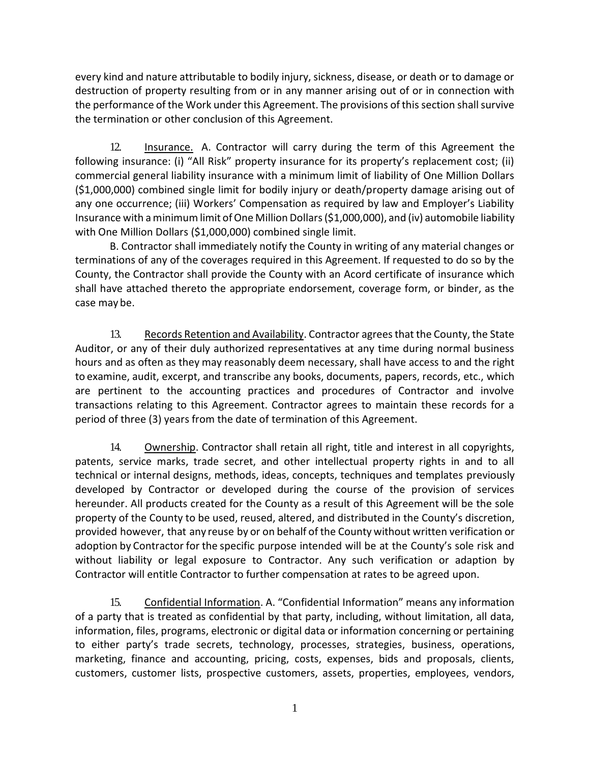every kind and nature attributable to bodily injury, sickness, disease, or death or to damage or destruction of property resulting from or in any manner arising out of or in connection with the performance of the Work under this Agreement. The provisions of this section shall survive the termination or other conclusion of this Agreement.

12. Insurance. A. Contractor will carry during the term of this Agreement the following insurance: (i) "All Risk" property insurance for its property's replacement cost; (ii) commercial general liability insurance with a minimum limit of liability of One Million Dollars (\$1,000,000) combined single limit for bodily injury or death/property damage arising out of any one occurrence; (iii) Workers' Compensation as required by law and Employer's Liability Insurance with aminimumlimit ofOne Million Dollars(\$1,000,000), and (iv) automobile liability with One Million Dollars (\$1,000,000) combined single limit.

B. Contractor shall immediately notify the County in writing of any material changes or terminations of any of the coverages required in this Agreement. If requested to do so by the County, the Contractor shall provide the County with an Acord certificate of insurance which shall have attached thereto the appropriate endorsement, coverage form, or binder, as the case may be.

13. Records Retention and Availability. Contractor agrees that the County, the State Auditor, or any of their duly authorized representatives at any time during normal business hours and as often as they may reasonably deem necessary, shall have access to and the right to examine, audit, excerpt, and transcribe any books, documents, papers, records, etc., which are pertinent to the accounting practices and procedures of Contractor and involve transactions relating to this Agreement. Contractor agrees to maintain these records for a period of three (3) years from the date of termination of this Agreement.

14. Ownership. Contractor shall retain all right, title and interest in all copyrights, patents, service marks, trade secret, and other intellectual property rights in and to all technical or internal designs, methods, ideas, concepts, techniques and templates previously developed by Contractor or developed during the course of the provision of services hereunder. All products created for the County as a result of this Agreement will be the sole property of the County to be used, reused, altered, and distributed in the County's discretion, provided however, that any reuse by or on behalf of the County without written verification or adoption by Contractor for the specific purpose intended will be at the County's sole risk and without liability or legal exposure to Contractor. Any such verification or adaption by Contractor will entitle Contractor to further compensation at rates to be agreed upon.

15. Confidential Information. A. "Confidential Information" means any information of a party that is treated as confidential by that party, including, without limitation, all data, information, files, programs, electronic or digital data or information concerning or pertaining to either party's trade secrets, technology, processes, strategies, business, operations, marketing, finance and accounting, pricing, costs, expenses, bids and proposals, clients, customers, customer lists, prospective customers, assets, properties, employees, vendors,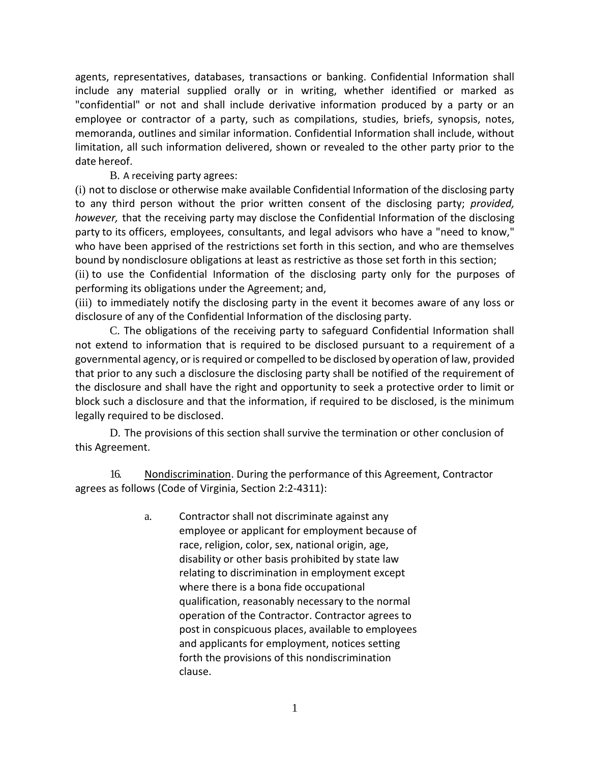agents, representatives, databases, transactions or banking. Confidential Information shall include any material supplied orally or in writing, whether identified or marked as "confidential" or not and shall include derivative information produced by a party or an employee or contractor of a party, such as compilations, studies, briefs, synopsis, notes, memoranda, outlines and similar information. Confidential Information shall include, without limitation, all such information delivered, shown or revealed to the other party prior to the date hereof.

B. A receiving party agrees:

(i) not to disclose or otherwise make available Confidential Information of the disclosing party to any third person without the prior written consent of the disclosing party; *provided, however,* that the receiving party may disclose the Confidential Information of the disclosing party to its officers, employees, consultants, and legal advisors who have a "need to know," who have been apprised of the restrictions set forth in this section, and who are themselves bound by nondisclosure obligations at least as restrictive as those set forth in this section; (ii) to use the Confidential Information of the disclosing party only for the purposes of performing its obligations under the Agreement; and,

(iii) to immediately notify the disclosing party in the event it becomes aware of any loss or disclosure of any of the Confidential Information of the disclosing party.

C. The obligations of the receiving party to safeguard Confidential Information shall not extend to information that is required to be disclosed pursuant to a requirement of a governmental agency, or is required or compelled to be disclosed by operation of law, provided that prior to any such a disclosure the disclosing party shall be notified of the requirement of the disclosure and shall have the right and opportunity to seek a protective order to limit or block such a disclosure and that the information, if required to be disclosed, is the minimum legally required to be disclosed.

D. The provisions of this section shall survive the termination or other conclusion of this Agreement.

16. Nondiscrimination. During the performance of this Agreement, Contractor agrees as follows (Code of Virginia, Section 2:2-4311):

> a. Contractor shall not discriminate against any employee or applicant for employment because of race, religion, color, sex, national origin, age, disability or other basis prohibited by state law relating to discrimination in employment except where there is a bona fide occupational qualification, reasonably necessary to the normal operation of the Contractor. Contractor agrees to post in conspicuous places, available to employees and applicants for employment, notices setting forth the provisions of this nondiscrimination clause.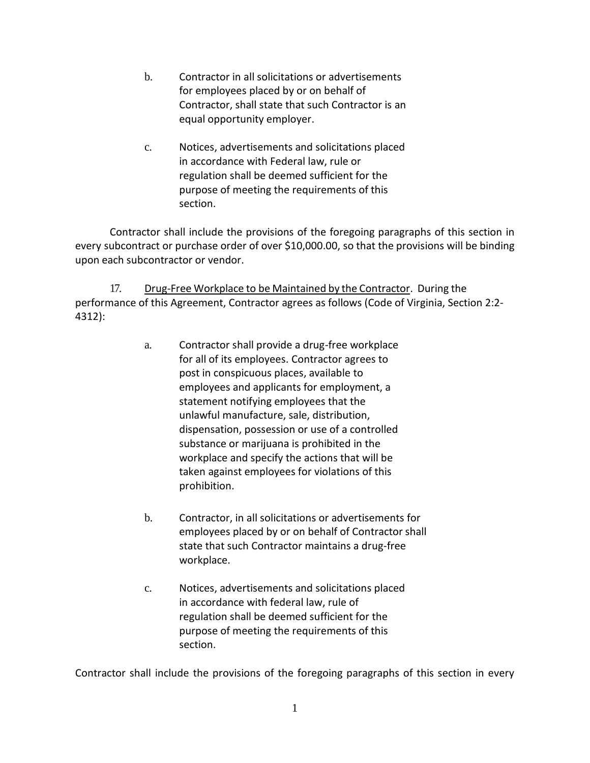- b. Contractor in all solicitations or advertisements for employees placed by or on behalf of Contractor, shall state that such Contractor is an equal opportunity employer.
- c. Notices, advertisements and solicitations placed in accordance with Federal law, rule or regulation shall be deemed sufficient for the purpose of meeting the requirements of this section.

Contractor shall include the provisions of the foregoing paragraphs of this section in every subcontract or purchase order of over \$10,000.00, so that the provisions will be binding upon each subcontractor or vendor.

17. Drug-Free Workplace to be Maintained by the Contractor. During the performance of this Agreement, Contractor agrees as follows (Code of Virginia, Section 2:2- 4312):

- a. Contractor shall provide a drug-free workplace for all of its employees. Contractor agrees to post in conspicuous places, available to employees and applicants for employment, a statement notifying employees that the unlawful manufacture, sale, distribution, dispensation, possession or use of a controlled substance or marijuana is prohibited in the workplace and specify the actions that will be taken against employees for violations of this prohibition.
- b. Contractor, in all solicitations or advertisements for employees placed by or on behalf of Contractor shall state that such Contractor maintains a drug-free workplace.
- c. Notices, advertisements and solicitations placed in accordance with federal law, rule of regulation shall be deemed sufficient for the purpose of meeting the requirements of this section.

Contractor shall include the provisions of the foregoing paragraphs of this section in every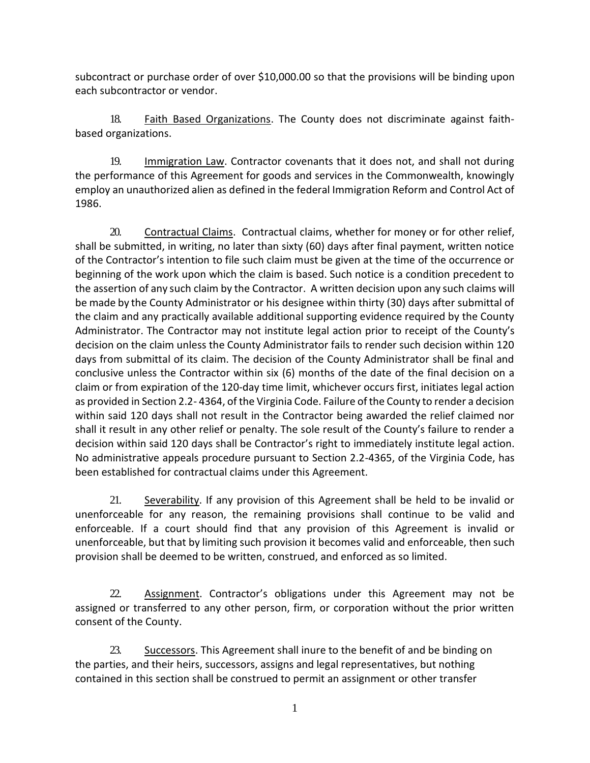subcontract or purchase order of over \$10,000.00 so that the provisions will be binding upon each subcontractor or vendor.

18. Faith Based Organizations. The County does not discriminate against faithbased organizations.

19. Immigration Law. Contractor covenants that it does not, and shall not during the performance of this Agreement for goods and services in the Commonwealth, knowingly employ an unauthorized alien as defined in the federal Immigration Reform and Control Act of 1986.

20. Contractual Claims. Contractual claims, whether for money or for other relief, shall be submitted, in writing, no later than sixty (60) days after final payment, written notice of the Contractor's intention to file such claim must be given at the time of the occurrence or beginning of the work upon which the claim is based. Such notice is a condition precedent to the assertion of any such claim by the Contractor. A written decision upon any such claims will be made by the County Administrator or his designee within thirty (30) days after submittal of the claim and any practically available additional supporting evidence required by the County Administrator. The Contractor may not institute legal action prior to receipt of the County's decision on the claim unless the County Administrator fails to render such decision within 120 days from submittal of its claim. The decision of the County Administrator shall be final and conclusive unless the Contractor within six (6) months of the date of the final decision on a claim or from expiration of the 120-day time limit, whichever occurs first, initiates legal action as provided in Section 2.2- 4364, of the Virginia Code. Failure of the County to render a decision within said 120 days shall not result in the Contractor being awarded the relief claimed nor shall it result in any other relief or penalty. The sole result of the County's failure to render a decision within said 120 days shall be Contractor's right to immediately institute legal action. No administrative appeals procedure pursuant to Section 2.2-4365, of the Virginia Code, has been established for contractual claims under this Agreement.

21. Severability. If any provision of this Agreement shall be held to be invalid or unenforceable for any reason, the remaining provisions shall continue to be valid and enforceable. If a court should find that any provision of this Agreement is invalid or unenforceable, but that by limiting such provision it becomes valid and enforceable, then such provision shall be deemed to be written, construed, and enforced as so limited.

22. Assignment. Contractor's obligations under this Agreement may not be assigned or transferred to any other person, firm, or corporation without the prior written consent of the County.

23. Successors. This Agreement shall inure to the benefit of and be binding on the parties, and their heirs, successors, assigns and legal representatives, but nothing contained in this section shall be construed to permit an assignment or other transfer